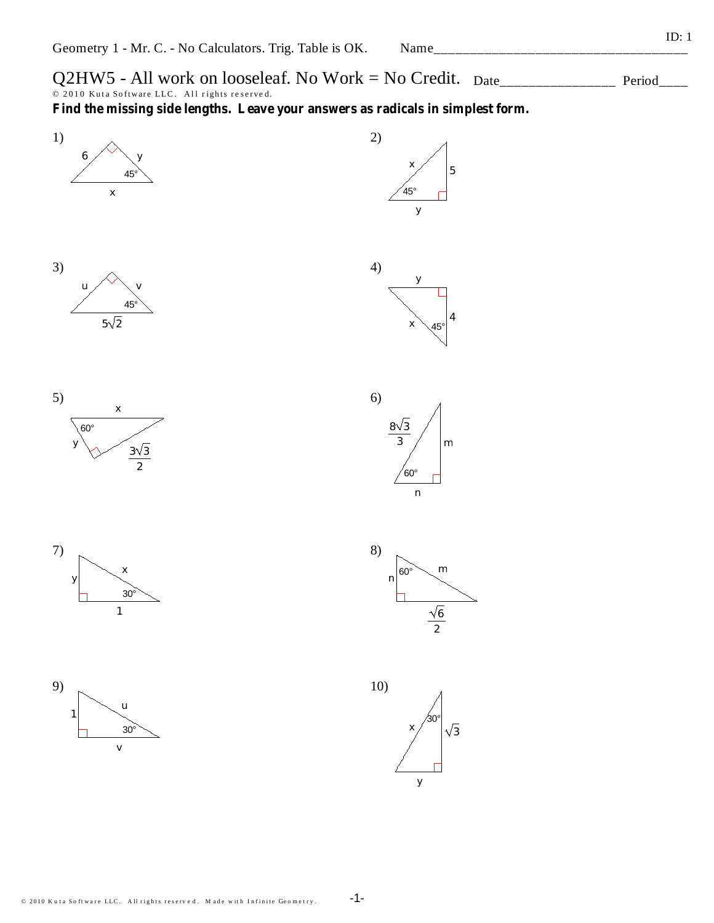$Q2HW5$  - All work on looseleaf. No Work = No Credit.  $_{Date}$   $_{Date}$  Period  $\overline{\odot}$  2010 Kuta Software LLC. All rights reserved.

**Find the missing side lengths. Leave your answers as radicals in simplest form.**









3

60°







Name\_\_\_\_\_\_\_\_\_\_\_\_\_\_\_\_\_\_\_\_\_\_\_\_\_\_\_\_\_\_\_\_\_\_\_

5

*x*

45°

*y*

*y*

-1-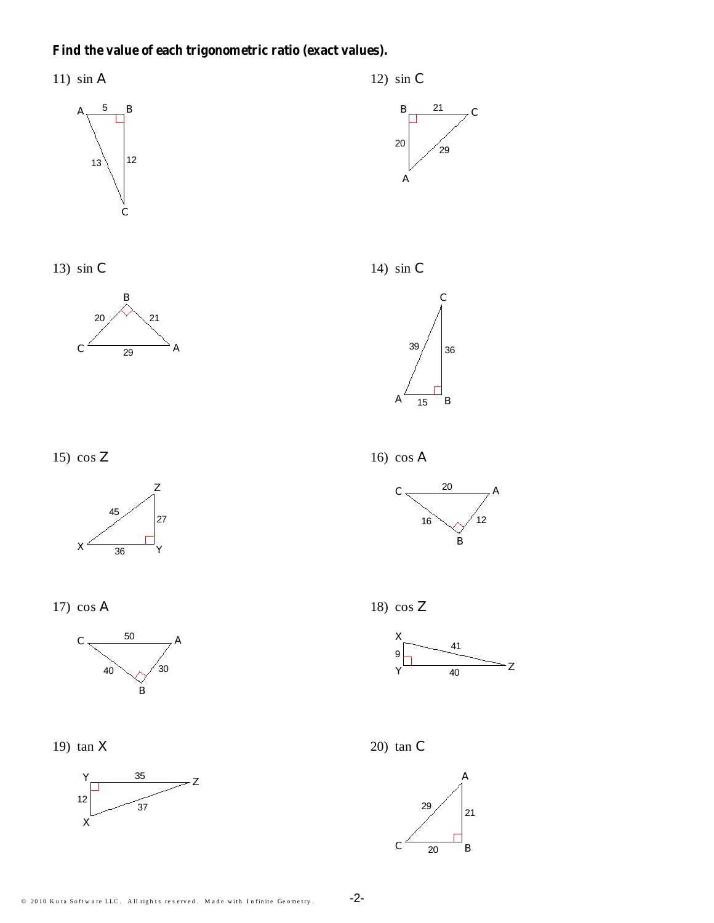## Find the value of each trigonometric ratio (exact values).

11)  $\sin A$ 



13) sin  $C$ 







17)  $\cos A$ 



19)  $tan X$ 



12)  $\sin C$ 



14) sin  $C$ 



16)  $\cos A$ 











 $-2-$